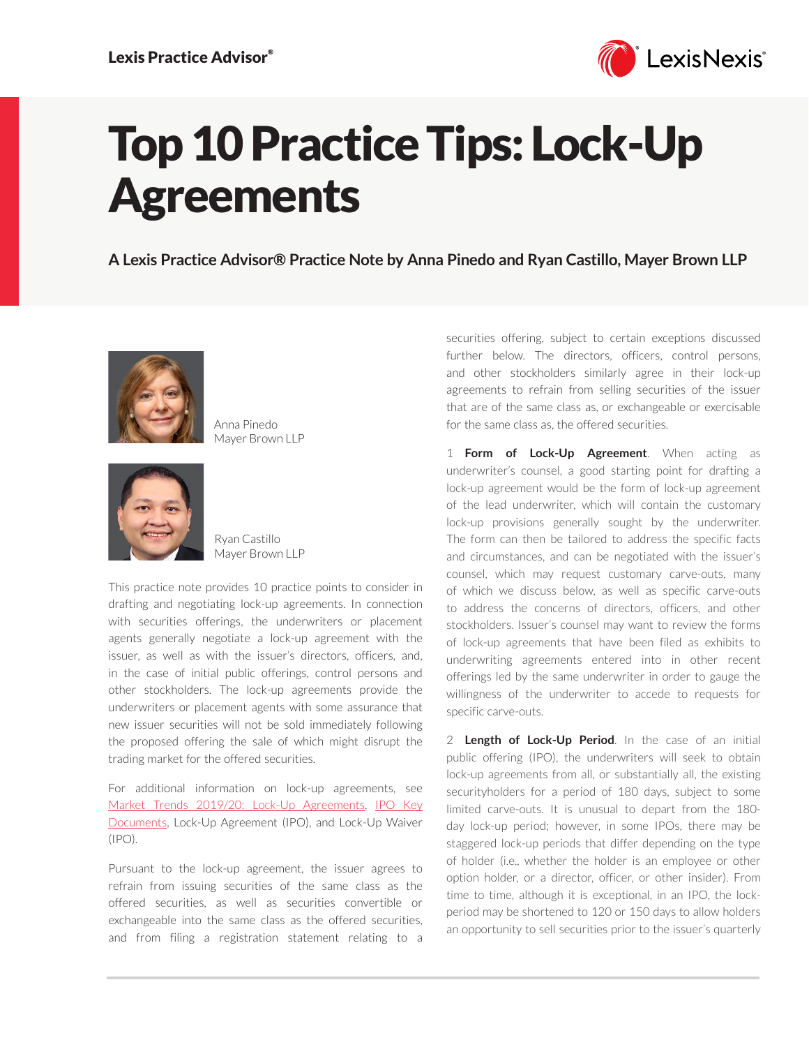

## Top 10 Practice Tips: Lock-Up **Agreements**

**A Lexis Practice Advisor® Practice Note by Anna Pinedo and Ryan Castillo, Mayer Brown LLP**



Anna Pinedo Mayer Brown LLP



Ryan Castillo Mayer Brown LLP

This practice note provides 10 practice points to consider in drafting and negotiating lock-up agreements. In connection with securities offerings, the underwriters or placement agents generally negotiate a lock-up agreement with the issuer, as well as with the issuer's directors, officers, and, in the case of initial public offerings, control persons and other stockholders. The lock-up agreements provide the underwriters or placement agents with some assurance that new issuer securities will not be sold immediately following the proposed offering the sale of which might disrupt the trading market for the offered securities.

For additional information on lock-up agreements, see [Market Trends 2019/20: Lock-Up Agreements](https://advance.lexis.com/open/document/lpadocument/?pdmfid=1000522&pddocfullpath=%2Fshared%2Fdocument%2Fanalytical-materials%2Furn%3AcontentItem%3A60G4-P9G1-JKB3-X2VH-00000-00&pdcontentcomponentid=101206&pdteaserkey=sr0&pditab=allpods&ecomp=xtrg&earg=sr0), [IPO Key](https://advance.lexis.com/open/document/lpadocument/?pdmfid=1000522&pddocfullpath=%2Fshared%2Fdocument%2Fanalytical-materials%2Furn%3AcontentItem%3A576Y-2CH1-DXPM-S026-00000-00&pdcontentcomponentid=101206&pdteaserkey=sr0&pditab=allpods&ecomp=xtrg&earg=sr0)  [Documents](https://advance.lexis.com/open/document/lpadocument/?pdmfid=1000522&pddocfullpath=%2Fshared%2Fdocument%2Fanalytical-materials%2Furn%3AcontentItem%3A576Y-2CH1-DXPM-S026-00000-00&pdcontentcomponentid=101206&pdteaserkey=sr0&pditab=allpods&ecomp=xtrg&earg=sr0), Lock-Up Agreement (IPO), and Lock-Up Waiver (IPO).

Pursuant to the lock-up agreement, the issuer agrees to refrain from issuing securities of the same class as the offered securities, as well as securities convertible or exchangeable into the same class as the offered securities, and from filing a registration statement relating to a securities offering, subject to certain exceptions discussed further below. The directors, officers, control persons, and other stockholders similarly agree in their lock-up agreements to refrain from selling securities of the issuer that are of the same class as, or exchangeable or exercisable for the same class as, the offered securities.

1 **Form of Lock-Up Agreement**. When acting as underwriter's counsel, a good starting point for drafting a lock-up agreement would be the form of lock-up agreement of the lead underwriter, which will contain the customary lock-up provisions generally sought by the underwriter. The form can then be tailored to address the specific facts and circumstances, and can be negotiated with the issuer's counsel, which may request customary carve-outs, many of which we discuss below, as well as specific carve-outs to address the concerns of directors, officers, and other stockholders. Issuer's counsel may want to review the forms of lock-up agreements that have been filed as exhibits to underwriting agreements entered into in other recent offerings led by the same underwriter in order to gauge the willingness of the underwriter to accede to requests for specific carve-outs.

2 **Length of Lock-Up Period**. In the case of an initial public offering (IPO), the underwriters will seek to obtain lock-up agreements from all, or substantially all, the existing securityholders for a period of 180 days, subject to some limited carve-outs. It is unusual to depart from the 180 day lock-up period; however, in some IPOs, there may be staggered lock-up periods that differ depending on the type of holder (i.e., whether the holder is an employee or other option holder, or a director, officer, or other insider). From time to time, although it is exceptional, in an IPO, the lockperiod may be shortened to 120 or 150 days to allow holders an opportunity to sell securities prior to the issuer's quarterly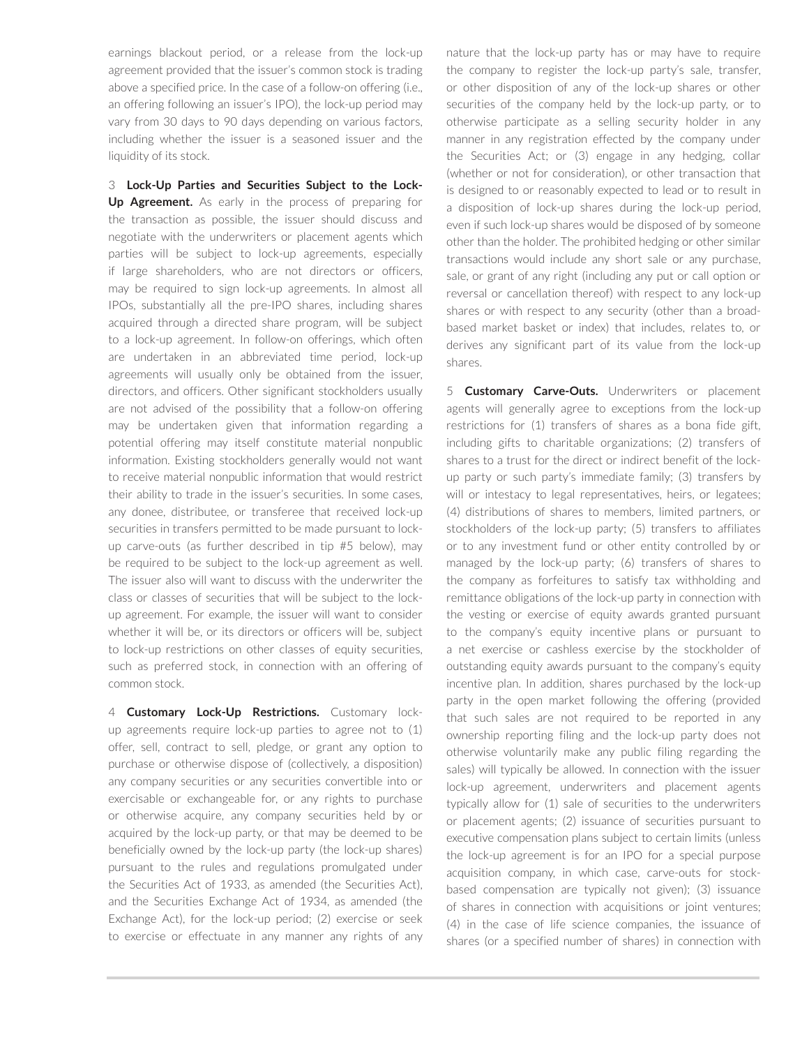earnings blackout period, or a release from the lock-up agreement provided that the issuer's common stock is trading above a specified price. In the case of a follow-on offering (i.e., an offering following an issuer's IPO), the lock-up period may vary from 30 days to 90 days depending on various factors, including whether the issuer is a seasoned issuer and the liquidity of its stock.

3 **Lock-Up Parties and Securities Subject to the Lock-Up Agreement.** As early in the process of preparing for the transaction as possible, the issuer should discuss and negotiate with the underwriters or placement agents which parties will be subject to lock-up agreements, especially if large shareholders, who are not directors or officers, may be required to sign lock-up agreements. In almost all IPOs, substantially all the pre-IPO shares, including shares acquired through a directed share program, will be subject to a lock-up agreement. In follow-on offerings, which often are undertaken in an abbreviated time period, lock-up agreements will usually only be obtained from the issuer, directors, and officers. Other significant stockholders usually are not advised of the possibility that a follow-on offering may be undertaken given that information regarding a potential offering may itself constitute material nonpublic information. Existing stockholders generally would not want to receive material nonpublic information that would restrict their ability to trade in the issuer's securities. In some cases, any donee, distributee, or transferee that received lock-up securities in transfers permitted to be made pursuant to lockup carve-outs (as further described in tip #5 below), may be required to be subject to the lock-up agreement as well. The issuer also will want to discuss with the underwriter the class or classes of securities that will be subject to the lockup agreement. For example, the issuer will want to consider whether it will be, or its directors or officers will be, subject to lock-up restrictions on other classes of equity securities, such as preferred stock, in connection with an offering of common stock.

4 **Customary Lock-Up Restrictions.** Customary lockup agreements require lock-up parties to agree not to (1) offer, sell, contract to sell, pledge, or grant any option to purchase or otherwise dispose of (collectively, a disposition) any company securities or any securities convertible into or exercisable or exchangeable for, or any rights to purchase or otherwise acquire, any company securities held by or acquired by the lock-up party, or that may be deemed to be beneficially owned by the lock-up party (the lock-up shares) pursuant to the rules and regulations promulgated under the Securities Act of 1933, as amended (the Securities Act), and the Securities Exchange Act of 1934, as amended (the Exchange Act), for the lock-up period; (2) exercise or seek to exercise or effectuate in any manner any rights of any nature that the lock-up party has or may have to require the company to register the lock-up party's sale, transfer, or other disposition of any of the lock-up shares or other securities of the company held by the lock-up party, or to otherwise participate as a selling security holder in any manner in any registration effected by the company under the Securities Act; or (3) engage in any hedging, collar (whether or not for consideration), or other transaction that is designed to or reasonably expected to lead or to result in a disposition of lock-up shares during the lock-up period, even if such lock-up shares would be disposed of by someone other than the holder. The prohibited hedging or other similar transactions would include any short sale or any purchase, sale, or grant of any right (including any put or call option or reversal or cancellation thereof) with respect to any lock-up shares or with respect to any security (other than a broadbased market basket or index) that includes, relates to, or derives any significant part of its value from the lock-up shares.

5 **Customary Carve-Outs.** Underwriters or placement agents will generally agree to exceptions from the lock-up restrictions for (1) transfers of shares as a bona fide gift, including gifts to charitable organizations; (2) transfers of shares to a trust for the direct or indirect benefit of the lockup party or such party's immediate family; (3) transfers by will or intestacy to legal representatives, heirs, or legatees; (4) distributions of shares to members, limited partners, or stockholders of the lock-up party; (5) transfers to affiliates or to any investment fund or other entity controlled by or managed by the lock-up party; (6) transfers of shares to the company as forfeitures to satisfy tax withholding and remittance obligations of the lock-up party in connection with the vesting or exercise of equity awards granted pursuant to the company's equity incentive plans or pursuant to a net exercise or cashless exercise by the stockholder of outstanding equity awards pursuant to the company's equity incentive plan. In addition, shares purchased by the lock-up party in the open market following the offering (provided that such sales are not required to be reported in any ownership reporting filing and the lock-up party does not otherwise voluntarily make any public filing regarding the sales) will typically be allowed. In connection with the issuer lock-up agreement, underwriters and placement agents typically allow for (1) sale of securities to the underwriters or placement agents; (2) issuance of securities pursuant to executive compensation plans subject to certain limits (unless the lock-up agreement is for an IPO for a special purpose acquisition company, in which case, carve-outs for stockbased compensation are typically not given); (3) issuance of shares in connection with acquisitions or joint ventures; (4) in the case of life science companies, the issuance of shares (or a specified number of shares) in connection with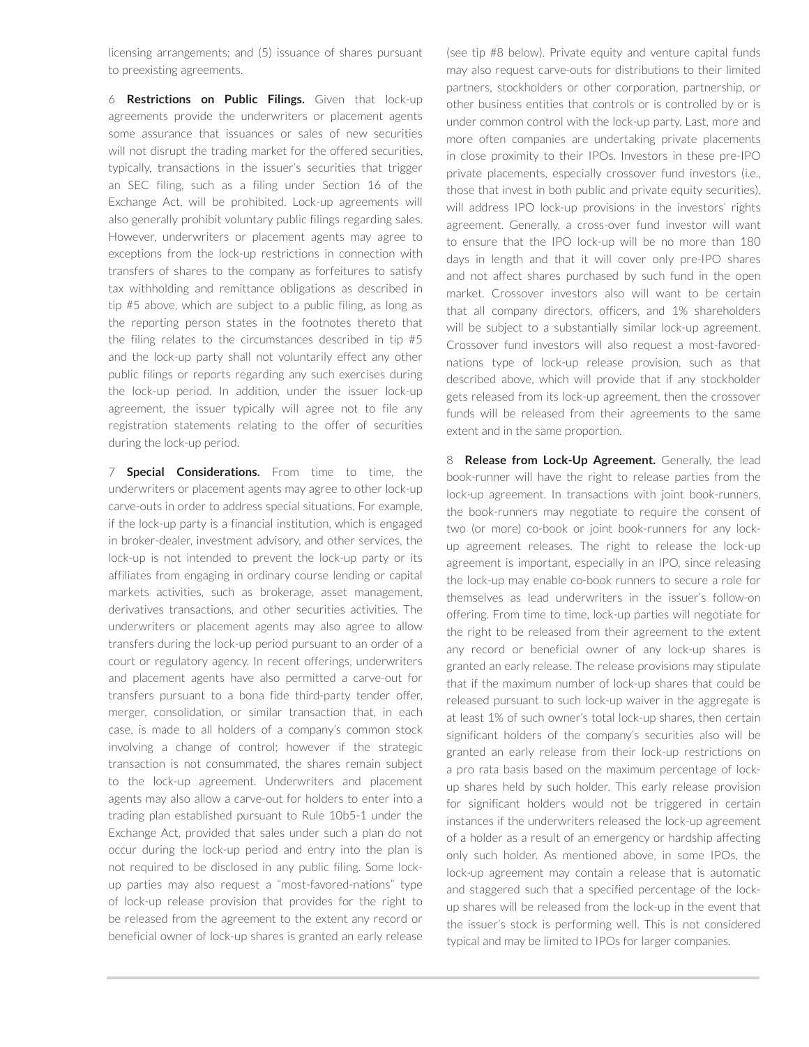licensing arrangements; and (5) issuance of shares pursuant to preexisting agreements.

6 **Restrictions on Public Filings.** Given that lock-up agreements provide the underwriters or placement agents some assurance that issuances or sales of new securities will not disrupt the trading market for the offered securities, typically, transactions in the issuer's securities that trigger an SEC filing, such as a filing under Section 16 of the Exchange Act, will be prohibited. Lock-up agreements will also generally prohibit voluntary public filings regarding sales. However, underwriters or placement agents may agree to exceptions from the lock-up restrictions in connection with transfers of shares to the company as forfeitures to satisfy tax withholding and remittance obligations as described in tip #5 above, which are subject to a public filing, as long as the reporting person states in the footnotes thereto that the filing relates to the circumstances described in tip #5 and the lock-up party shall not voluntarily effect any other public filings or reports regarding any such exercises during the lock-up period. In addition, under the issuer lock-up agreement, the issuer typically will agree not to file any registration statements relating to the offer of securities during the lock-up period.

7 **Special Considerations.** From time to time, the underwriters or placement agents may agree to other lock-up carve-outs in order to address special situations. For example, if the lock-up party is a financial institution, which is engaged in broker-dealer, investment advisory, and other services, the lock-up is not intended to prevent the lock-up party or its affiliates from engaging in ordinary course lending or capital markets activities, such as brokerage, asset management, derivatives transactions, and other securities activities. The underwriters or placement agents may also agree to allow transfers during the lock-up period pursuant to an order of a court or regulatory agency. In recent offerings, underwriters and placement agents have also permitted a carve-out for transfers pursuant to a bona fide third-party tender offer, merger, consolidation, or similar transaction that, in each case, is made to all holders of a company's common stock involving a change of control; however if the strategic transaction is not consummated, the shares remain subject to the lock-up agreement. Underwriters and placement agents may also allow a carve-out for holders to enter into a trading plan established pursuant to Rule 10b5-1 under the Exchange Act, provided that sales under such a plan do not occur during the lock-up period and entry into the plan is not required to be disclosed in any public filing. Some lockup parties may also request a "most-favored-nations" type of lock-up release provision that provides for the right to be released from the agreement to the extent any record or beneficial owner of lock-up shares is granted an early release (see tip #8 below). Private equity and venture capital funds may also request carve-outs for distributions to their limited partners, stockholders or other corporation, partnership, or other business entities that controls or is controlled by or is under common control with the lock-up party. Last, more and more often companies are undertaking private placements in close proximity to their IPOs. Investors in these pre-IPO private placements, especially crossover fund investors (i.e., those that invest in both public and private equity securities), will address IPO lock-up provisions in the investors' rights agreement. Generally, a cross-over fund investor will want to ensure that the IPO lock-up will be no more than 180 days in length and that it will cover only pre-IPO shares and not affect shares purchased by such fund in the open market. Crossover investors also will want to be certain that all company directors, officers, and 1% shareholders will be subject to a substantially similar lock-up agreement. Crossover fund investors will also request a most-favorednations type of lock-up release provision, such as that described above, which will provide that if any stockholder gets released from its lock-up agreement, then the crossover funds will be released from their agreements to the same extent and in the same proportion.

8 **Release from Lock-Up Agreement.** Generally, the lead book-runner will have the right to release parties from the lock-up agreement. In transactions with joint book-runners, the book-runners may negotiate to require the consent of two (or more) co-book or joint book-runners for any lockup agreement releases. The right to release the lock-up agreement is important, especially in an IPO, since releasing the lock-up may enable co-book runners to secure a role for themselves as lead underwriters in the issuer's follow-on offering. From time to time, lock-up parties will negotiate for the right to be released from their agreement to the extent any record or beneficial owner of any lock-up shares is granted an early release. The release provisions may stipulate that if the maximum number of lock-up shares that could be released pursuant to such lock-up waiver in the aggregate is at least 1% of such owner's total lock-up shares, then certain significant holders of the company's securities also will be granted an early release from their lock-up restrictions on a pro rata basis based on the maximum percentage of lockup shares held by such holder. This early release provision for significant holders would not be triggered in certain instances if the underwriters released the lock-up agreement of a holder as a result of an emergency or hardship affecting only such holder. As mentioned above, in some IPOs, the lock-up agreement may contain a release that is automatic and staggered such that a specified percentage of the lockup shares will be released from the lock-up in the event that the issuer's stock is performing well. This is not considered typical and may be limited to IPOs for larger companies.